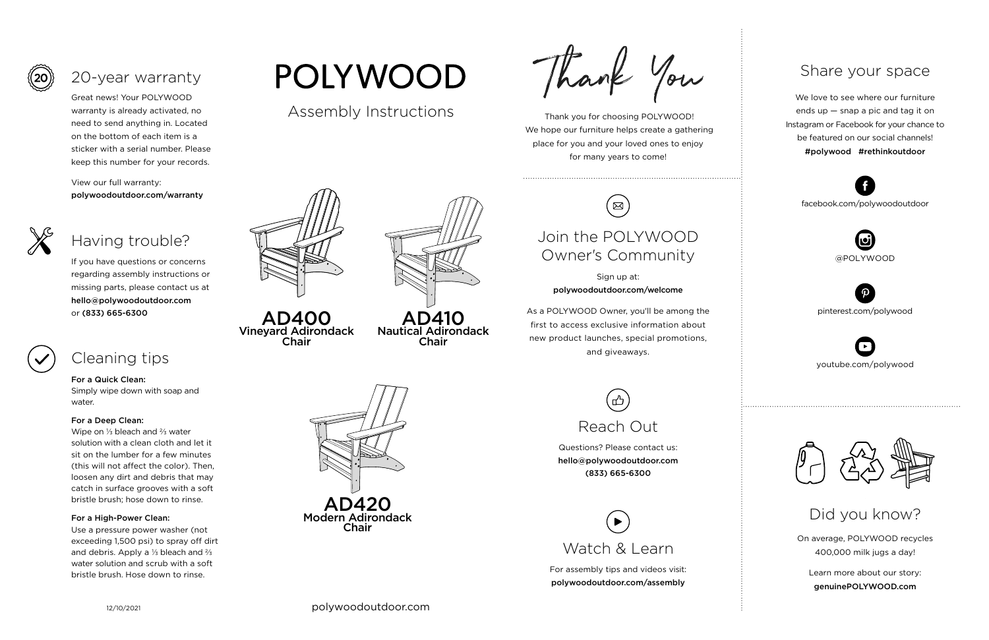Thank you for choosing POLYWOOD! We hope our furniture helps create a gathering place for you and your loved ones to enjoy for many years to come!



On average, POLYWOOD recycles 400,000 milk jugs a day!

Learn more about our story: genuinePOLYWOOD.com

We love to see where our furniture ends up — snap a pic and tag it on Instagram or Facebook for your chance to be featured on our social channels! #polywood #rethinkoutdoor



youtube.com/polywood



pinterest.com/polywood



facebook.com/polywoodoutdoor





## Share your space

Did you know?

Great news! Your POLYWOOD warranty is already activated, no need to send anything in. Located on the bottom of each item is a sticker with a serial number. Please keep this number for your records.

View our full warranty: polywoodoutdoor.com/warranty



#### For a Quick Clean:

Simply wipe down with soap and water.

#### For a Deep Clean:

Wipe on ⅓ bleach and ⅔ water solution with a clean cloth and let it sit on the lumber for a few minutes (this will not affect the color). Then, loosen any dirt and debris that may catch in surface grooves with a soft bristle brush; hose down to rinse.

#### For a High-Power Clean:

Use a pressure power washer (not exceeding 1,500 psi) to spray off dirt and debris. Apply a ⅓ bleach and ⅔ water solution and scrub with a soft bristle brush. Hose down to rinse.

# **POLYWOOD**

If you have questions or concerns regarding assembly instructions or missing parts, please contact us at hello@polywoodoutdoor.com or (833) 665-6300





## 20-year warranty

## Having trouble?

## Cleaning tips

For assembly tips and videos visit: polywoodoutdoor.com/assembly



Sign up at: polywoodoutdoor.com/welcome

As a POLYWOOD Owner, you'll be among the first to access exclusive information about new product launches, special promotions, and giveaways.

# Join the POLYWOOD Owner's Community

 $\boxtimes$ 

Questions? Please contact us: hello@polywoodoutdoor.com (833) 665-6300



Assembly Instructions



AD410 Nautical Adirondack Chair



AD400 Vineyard Adirondack Chair